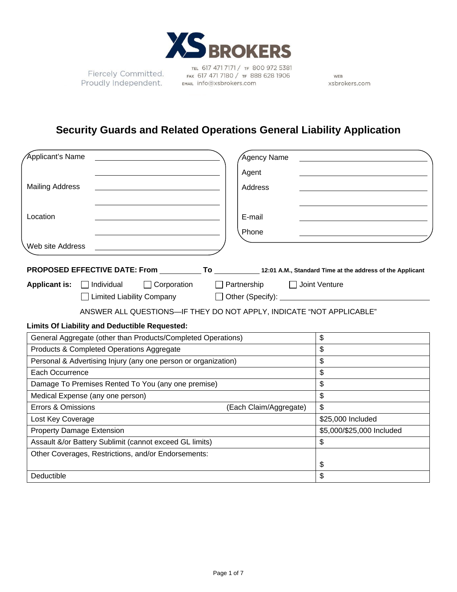

TEL 617 471 7171 / TF 800 972 5381 Fiercely Committed.<br>Proudly Independent. EMAL Info@xsbrokers.com

WEB xsbrokers.com

# **Security Guards and Related Operations General Liability Application**

| <b>Applicant's Name</b>                                         | Agency Name                                                          |
|-----------------------------------------------------------------|----------------------------------------------------------------------|
|                                                                 | Agent                                                                |
| <b>Mailing Address</b>                                          | Address                                                              |
|                                                                 |                                                                      |
| Location                                                        | E-mail                                                               |
|                                                                 | Phone                                                                |
| Web site Address                                                |                                                                      |
|                                                                 |                                                                      |
| $\Box$ Corporation<br><b>Applicant is:</b><br>$\Box$ Individual | $\Box$ Partnership<br>Joint Venture                                  |
|                                                                 |                                                                      |
|                                                                 | ANSWER ALL QUESTIONS-IF THEY DO NOT APPLY, INDICATE "NOT APPLICABLE" |
| <b>Limits Of Liability and Deductible Requested:</b>            |                                                                      |
| General Aggregate (other than Products/Completed Operations)    | \$                                                                   |
| Products & Completed Operations Aggregate                       | \$                                                                   |
| Personal & Advertising Injury (any one person or organization)  | $\boldsymbol{\mathsf{S}}$                                            |
| Each Occurrence                                                 | \$                                                                   |
| Damage To Premises Rented To You (any one premise)              | \$                                                                   |
| Medical Expense (any one person)                                | \$                                                                   |
| Errors & Omissions                                              | $\mathfrak{S}$<br>(Each Claim/Aggregate)                             |
| Lost Key Coverage                                               | \$25,000 Included                                                    |
| <b>Property Damage Extension</b>                                | \$5,000/\$25,000 Included                                            |
| Assault &/or Battery Sublimit (cannot exceed GL limits)         | \$                                                                   |
| Other Coverages, Restrictions, and/or Endorsements:             |                                                                      |
|                                                                 | \$                                                                   |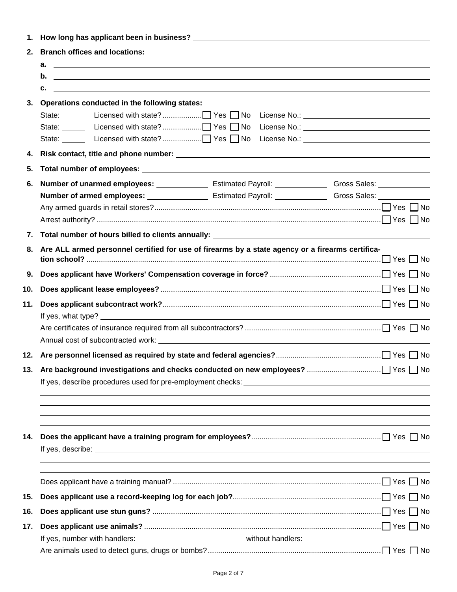| 2.  | <b>Branch offices and locations:</b>                                                                                                                                                                                                                                                 |
|-----|--------------------------------------------------------------------------------------------------------------------------------------------------------------------------------------------------------------------------------------------------------------------------------------|
|     | $\mathsf{a.}$ $\blacksquare$                                                                                                                                                                                                                                                         |
|     | $\mathbf{b}$ . $\qquad \qquad$                                                                                                                                                                                                                                                       |
|     | c.<br><u> 1989 - Johann Stoff, amerikansk politiker (* 1908)</u>                                                                                                                                                                                                                     |
|     | 3. Operations conducted in the following states:                                                                                                                                                                                                                                     |
| 4.  |                                                                                                                                                                                                                                                                                      |
| 5.  |                                                                                                                                                                                                                                                                                      |
| 6.  |                                                                                                                                                                                                                                                                                      |
|     |                                                                                                                                                                                                                                                                                      |
|     |                                                                                                                                                                                                                                                                                      |
|     |                                                                                                                                                                                                                                                                                      |
|     |                                                                                                                                                                                                                                                                                      |
| 8.  | Are ALL armed personnel certified for use of firearms by a state agency or a firearms certifica-<br>$\mathsf{tion}\ \mathsf{school?}\ \mathsf{}\ \mathsf{}\ \mathsf{}\ \mathsf{}\ \mathsf{}\ \mathsf{}\ \mathsf{}\ \mathsf{}\ \mathsf{}\ \mathsf{}\ \mathsf{}\ \mathsf{}\ \mathsf{}$ |
| 9.  |                                                                                                                                                                                                                                                                                      |
| 10. |                                                                                                                                                                                                                                                                                      |
| 11. |                                                                                                                                                                                                                                                                                      |
|     |                                                                                                                                                                                                                                                                                      |
|     |                                                                                                                                                                                                                                                                                      |
|     | ,我们也不能会有什么。""我们的人,我们也不能会有什么?""我们的人,我们也不能会有什么?""我们的人,我们也不能会有什么?""我们的人,我们也不能会有什么?""                                                                                                                                                                                                    |
| 14. |                                                                                                                                                                                                                                                                                      |
|     | ,我们也不会有什么。""我们的人,我们也不会有什么?""我们的人,我们也不会有什么?""我们的人,我们也不会有什么?""我们的人,我们也不会有什么?""我们的人                                                                                                                                                                                                     |
| 15. |                                                                                                                                                                                                                                                                                      |
| 16. |                                                                                                                                                                                                                                                                                      |
| 17. |                                                                                                                                                                                                                                                                                      |
|     |                                                                                                                                                                                                                                                                                      |
|     |                                                                                                                                                                                                                                                                                      |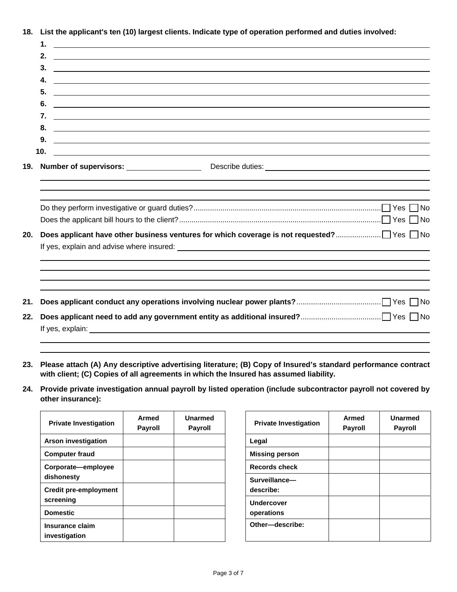**18. List the applicant's ten (10) largest clients. Indicate type of operation performed and duties involved:** 

|     | $\mathbf 1$<br><u> 1980 - Andrea State Barbara, amerikan personal di sebagai personal di sebagai personal di sebagai personal d</u>                                                                                                        |
|-----|--------------------------------------------------------------------------------------------------------------------------------------------------------------------------------------------------------------------------------------------|
|     | 2.<br><u> 1990 - Johann Stoff, amerikansk politiker (d. 1980)</u>                                                                                                                                                                          |
|     | 3.<br><u> 1989 - Johann John Stein, markin fan it ferstjer fan de ferstjer fan it ferstjer fan it ferstjer fan it fers</u>                                                                                                                 |
|     | 4.<br><u> 1989 - Johann Harry Harry Harry Harry Harry Harry Harry Harry Harry Harry Harry Harry Harry Harry Harry Harry</u>                                                                                                                |
|     | 5.<br><u> 1989 - Johann Barnett, fransk politik (d. 1989)</u>                                                                                                                                                                              |
|     | 6.<br><u> 1989 - Jan Barbara (h. 1989).</u><br>1900 - Johann Barbara, frantziar martxar (h. 1900).                                                                                                                                         |
|     | 7.<br><u> 1999 - Johann Harry Harry Harry Harry Harry Harry Harry Harry Harry Harry Harry Harry Harry Harry Harry Harry H</u>                                                                                                              |
|     | 8.<br><u> Andreas Andreas Andreas Andreas Andreas Andreas Andreas Andreas Andreas Andreas Andreas Andreas Andreas Andr</u>                                                                                                                 |
|     | 9.<br><u>state and the state of the state of the state of the state of the state of the state of the state of the state of the state of the state of the state of the state of the state of the state of the state of the state of the</u> |
|     | 10.<br><u> 1989 - Jan Barbara de Santo III e al Indonesia de la contrada de la contrada de la contrada de la contrada de</u>                                                                                                               |
| 19. |                                                                                                                                                                                                                                            |
|     |                                                                                                                                                                                                                                            |
|     |                                                                                                                                                                                                                                            |
|     |                                                                                                                                                                                                                                            |
|     |                                                                                                                                                                                                                                            |
| 20. |                                                                                                                                                                                                                                            |
|     |                                                                                                                                                                                                                                            |
|     |                                                                                                                                                                                                                                            |
|     |                                                                                                                                                                                                                                            |
|     |                                                                                                                                                                                                                                            |
|     |                                                                                                                                                                                                                                            |
| 21. |                                                                                                                                                                                                                                            |
| 22. |                                                                                                                                                                                                                                            |
|     |                                                                                                                                                                                                                                            |

- **23. Please attach (A) Any descriptive advertising literature; (B) Copy of Insured's standard performance contract with client; (C) Copies of all agreements in which the Insured has assumed liability.**
- **24. Provide private investigation annual payroll by listed operation (include subcontractor payroll not covered by other insurance):**

| <b>Private Investigation</b>              | Armed<br><b>Payroll</b> | Unarmed<br><b>Payroll</b> |
|-------------------------------------------|-------------------------|---------------------------|
| <b>Arson investigation</b>                |                         |                           |
| <b>Computer fraud</b>                     |                         |                           |
| Corporate-employee<br>dishonesty          |                         |                           |
| <b>Credit pre-employment</b><br>screening |                         |                           |
| <b>Domestic</b>                           |                         |                           |
| Insurance claim<br>investigation          |                         |                           |

| <b>Private Investigation</b>    | Armed<br><b>Payroll</b> | Unarmed<br><b>Payroll</b> |
|---------------------------------|-------------------------|---------------------------|
| Legal                           |                         |                           |
| <b>Missing person</b>           |                         |                           |
| <b>Records check</b>            |                         |                           |
| Surveillance-<br>describe:      |                         |                           |
| <b>Undercover</b><br>operations |                         |                           |
| Other-describe:                 |                         |                           |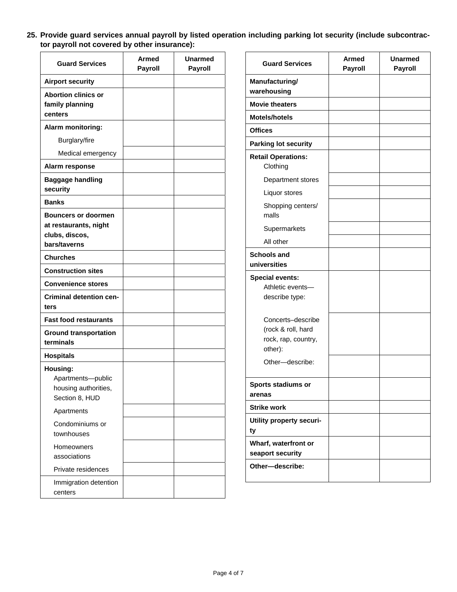**25. Provide guard services annual payroll by listed operation including parking lot security (include subcontractor payroll not covered by other insurance):** 

| <b>Guard Services</b>                                                                 | <b>Armed</b><br><b>Payroll</b> | Unarmed<br><b>Payroll</b> |
|---------------------------------------------------------------------------------------|--------------------------------|---------------------------|
| <b>Airport security</b>                                                               |                                |                           |
| <b>Abortion clinics or</b><br>family planning<br>centers                              |                                |                           |
| Alarm monitoring:                                                                     |                                |                           |
| Burglary/fire                                                                         |                                |                           |
| Medical emergency                                                                     |                                |                           |
| Alarm response                                                                        |                                |                           |
| <b>Baggage handling</b><br>security                                                   |                                |                           |
| <b>Banks</b>                                                                          |                                |                           |
| <b>Bouncers or doormen</b><br>at restaurants, night<br>clubs, discos,<br>bars/taverns |                                |                           |
| <b>Churches</b>                                                                       |                                |                           |
| <b>Construction sites</b>                                                             |                                |                           |
| <b>Convenience stores</b>                                                             |                                |                           |
| <b>Criminal detention cen-</b><br>ters                                                |                                |                           |
| <b>Fast food restaurants</b>                                                          |                                |                           |
| <b>Ground transportation</b><br>terminals                                             |                                |                           |
| <b>Hospitals</b>                                                                      |                                |                           |
| Housing:<br>Apartments-public<br>housing authorities,<br>Section 8, HUD               |                                |                           |
| Apartments                                                                            |                                |                           |
| Condominiums or<br>townhouses                                                         |                                |                           |
| Homeowners<br>associations                                                            |                                |                           |
| Private residences                                                                    |                                |                           |
| Immigration detention<br>centers                                                      |                                |                           |

| <b>Guard Services</b>                                                     | <b>Armed</b><br>Payroll | <b>Unarmed</b><br><b>Payroll</b> |
|---------------------------------------------------------------------------|-------------------------|----------------------------------|
| Manufacturing/<br>warehousing                                             |                         |                                  |
| <b>Movie theaters</b>                                                     |                         |                                  |
| <b>Motels/hotels</b>                                                      |                         |                                  |
| <b>Offices</b>                                                            |                         |                                  |
| <b>Parking lot security</b>                                               |                         |                                  |
| <b>Retail Operations:</b><br>Clothing                                     |                         |                                  |
| Department stores                                                         |                         |                                  |
| Liquor stores                                                             |                         |                                  |
| Shopping centers/<br>malls                                                |                         |                                  |
| Supermarkets                                                              |                         |                                  |
| All other                                                                 |                         |                                  |
| <b>Schools and</b><br>universities                                        |                         |                                  |
| <b>Special events:</b><br>Athletic events-<br>describe type:              |                         |                                  |
| Concerts-describe<br>(rock & roll, hard<br>rock, rap, country,<br>other): |                         |                                  |
| Other-describe:                                                           |                         |                                  |
| Sports stadiums or<br>arenas                                              |                         |                                  |
| <b>Strike work</b>                                                        |                         |                                  |
| Utility property securi-<br>ty                                            |                         |                                  |
| Wharf, waterfront or<br>seaport security                                  |                         |                                  |
| Other-describe:                                                           |                         |                                  |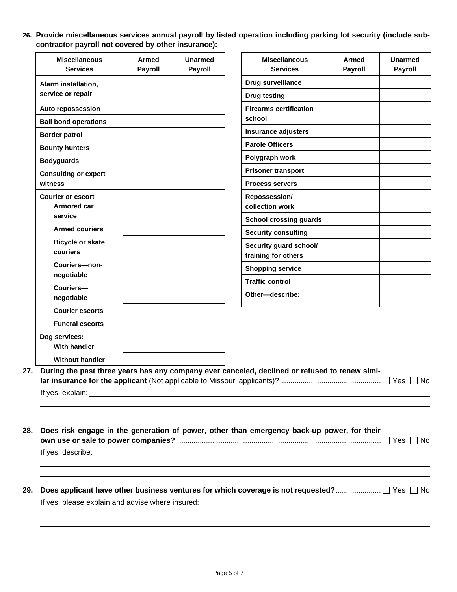**26. Provide miscellaneous services annual payroll by listed operation including parking lot security (include subcontractor payroll not covered by other insurance):** 

| <b>Miscellaneous</b>        | <b>Armed</b>   | <b>Unarmed</b> | <b>Miscellaneous</b>          | Armed   | <b>Unarmed</b> |
|-----------------------------|----------------|----------------|-------------------------------|---------|----------------|
| <b>Services</b>             | <b>Payroll</b> | <b>Payroll</b> | <b>Services</b>               | Payroll | <b>Payroll</b> |
| Alarm installation,         |                |                | Drug surveillance             |         |                |
| service or repair           |                |                | <b>Drug testing</b>           |         |                |
| Auto repossession           |                |                | <b>Firearms certification</b> |         |                |
| <b>Bail bond operations</b> |                |                | school                        |         |                |
| <b>Border patrol</b>        |                |                | <b>Insurance adjusters</b>    |         |                |
| <b>Bounty hunters</b>       |                |                | <b>Parole Officers</b>        |         |                |
| <b>Bodyguards</b>           |                |                | Polygraph work                |         |                |
| <b>Consulting or expert</b> |                |                | <b>Prisoner transport</b>     |         |                |
| witness                     |                |                | <b>Process servers</b>        |         |                |
| <b>Courier or escort</b>    |                |                | Repossession/                 |         |                |
| <b>Armored car</b>          |                |                | collection work               |         |                |
| service                     |                |                | <b>School crossing guards</b> |         |                |
| <b>Armed couriers</b>       |                |                | <b>Security consulting</b>    |         |                |
| <b>Bicycle or skate</b>     |                |                | Security guard school/        |         |                |
| couriers                    |                |                | training for others           |         |                |
| Couriers-non-               |                |                | <b>Shopping service</b>       |         |                |
| negotiable                  |                |                | <b>Traffic control</b>        |         |                |
| Couriers-<br>negotiable     |                |                | Other-describe:               |         |                |
| <b>Courier escorts</b>      |                |                |                               |         |                |
| <b>Funeral escorts</b>      |                |                |                               |         |                |
| Dog services:               |                |                |                               |         |                |
| <b>With handler</b>         |                |                |                               |         |                |
| <b>Without handler</b>      |                |                |                               |         |                |

If yes, describe:

**29. Does applicant have other business ventures for which coverage is not requested?** ...................... Yes No If yes, please explain and advise where insured: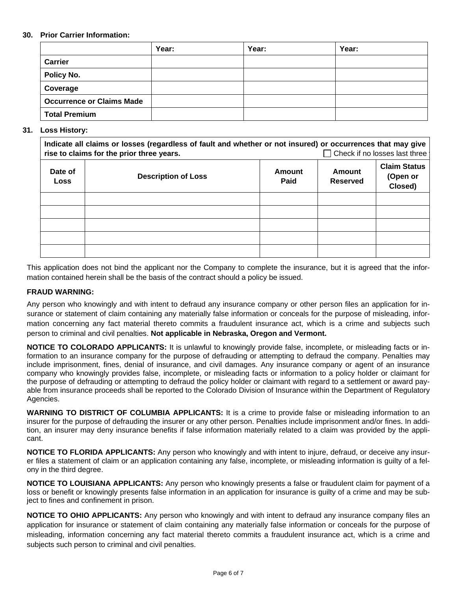## **30. Prior Carrier Information:**

|                                  | Year: | Year: | Year: |
|----------------------------------|-------|-------|-------|
| Carrier                          |       |       |       |
| Policy No.                       |       |       |       |
| Coverage                         |       |       |       |
| <b>Occurrence or Claims Made</b> |       |       |       |
| <b>Total Premium</b>             |       |       |       |

### **31. Loss History:**

| Indicate all claims or losses (regardless of fault and whether or not insured) or occurrences that may give<br>$\Box$ Check if no losses last three<br>rise to claims for the prior three years. |                            |                |                           |                                            |
|--------------------------------------------------------------------------------------------------------------------------------------------------------------------------------------------------|----------------------------|----------------|---------------------------|--------------------------------------------|
| Date of<br><b>Loss</b>                                                                                                                                                                           | <b>Description of Loss</b> | Amount<br>Paid | Amount<br><b>Reserved</b> | <b>Claim Status</b><br>(Open or<br>Closed) |
|                                                                                                                                                                                                  |                            |                |                           |                                            |
|                                                                                                                                                                                                  |                            |                |                           |                                            |
|                                                                                                                                                                                                  |                            |                |                           |                                            |
|                                                                                                                                                                                                  |                            |                |                           |                                            |
|                                                                                                                                                                                                  |                            |                |                           |                                            |

This application does not bind the applicant nor the Company to complete the insurance, but it is agreed that the information contained herein shall be the basis of the contract should a policy be issued.

### **FRAUD WARNING:**

Any person who knowingly and with intent to defraud any insurance company or other person files an application for insurance or statement of claim containing any materially false information or conceals for the purpose of misleading, information concerning any fact material thereto commits a fraudulent insurance act, which is a crime and subjects such person to criminal and civil penalties. **Not applicable in Nebraska, Oregon and Vermont.** 

**NOTICE TO COLORADO APPLICANTS:** It is unlawful to knowingly provide false, incomplete, or misleading facts or information to an insurance company for the purpose of defrauding or attempting to defraud the company. Penalties may include imprisonment, fines, denial of insurance, and civil damages. Any insurance company or agent of an insurance company who knowingly provides false, incomplete, or misleading facts or information to a policy holder or claimant for the purpose of defrauding or attempting to defraud the policy holder or claimant with regard to a settlement or award payable from insurance proceeds shall be reported to the Colorado Division of Insurance within the Department of Regulatory Agencies.

**WARNING TO DISTRICT OF COLUMBIA APPLICANTS:** It is a crime to provide false or misleading information to an insurer for the purpose of defrauding the insurer or any other person. Penalties include imprisonment and/or fines. In addition, an insurer may deny insurance benefits if false information materially related to a claim was provided by the applicant.

**NOTICE TO FLORIDA APPLICANTS:** Any person who knowingly and with intent to injure, defraud, or deceive any insurer files a statement of claim or an application containing any false, incomplete, or misleading information is guilty of a felony in the third degree.

**NOTICE TO LOUISIANA APPLICANTS:** Any person who knowingly presents a false or fraudulent claim for payment of a loss or benefit or knowingly presents false information in an application for insurance is guilty of a crime and may be subject to fines and confinement in prison.

**NOTICE TO OHIO APPLICANTS:** Any person who knowingly and with intent to defraud any insurance company files an application for insurance or statement of claim containing any materially false information or conceals for the purpose of misleading, information concerning any fact material thereto commits a fraudulent insurance act, which is a crime and subjects such person to criminal and civil penalties.